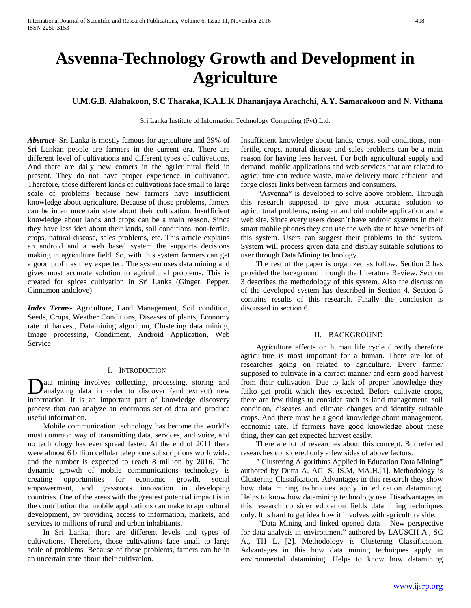# **Asvenna-Technology Growth and Development in Agriculture**

# **U.M.G.B. Alahakoon, S.C Tharaka, K.A.L.K Dhananjaya Arachchi, A.Y. Samarakoon and N. Vithana**

Sri Lanka Institute of Information Technology Computing (Pvt) Ltd.

*Abstract***-** Sri Lanka is mostly famous for agriculture and 39% of Sri Lankan people are farmers in the current era. There are different level of cultivations and different types of cultivations. And there are daily new comers in the agricultural field in present. They do not have proper experience in cultivation. Therefore, those different kinds of cultivations face small to large scale of problems because new farmers have insufficient knowledge about agriculture. Because of those problems, famers can be in an uncertain state about their cultivation. Insufficient knowledge about lands and crops can be a main reason. Since they have less idea about their lands, soil conditions, non-fertile, crops, natural disease, sales problems, etc. This article explains an android and a web based system the supports decisions making in agriculture field. So, with this system farmers can get a good profit as they expected. The system uses data mining and gives most accurate solution to agricultural problems. This is created for spices cultivation in Sri Lanka (Ginger, Pepper, Cinnamon andclove).

*Index Terms*- Agriculture, Land Management, Soil condition, Seeds, Crops, Weather Conditions, Diseases of plants, Economy rate of harvest, Datamining algorithm, Clustering data mining, Image processing, Condiment, Android Application, Web Service

#### I. INTRODUCTION

ata mining involves collecting, processing, storing and Data mining involves collecting, processing, storing and analyzing data in order to discover (and extract) new information. It is an important part of knowledge discovery process that can analyze an enormous set of data and produce useful information.

 Mobile communication technology has become the world's most common way of transmitting data, services, and voice, and no technology has ever spread faster. At the end of 2011 there were almost 6 billion cellular telephone subscriptions worldwide, and the number is expected to reach 8 million by 2016. The dynamic growth of mobile communications technology is creating opportunities for economic growth, social empowerment, and grassroots innovation in developing countries. One of the areas with the greatest potential impact is in the contribution that mobile applications can make to agricultural development, by providing access to information, markets, and services to millions of rural and urban inhabitants.

 In Sri Lanka, there are different levels and types of cultivations. Therefore, those cultivations face small to large scale of problems. Because of those problems, famers can be in an uncertain state about their cultivation.

Insufficient knowledge about lands, crops, soil conditions, nonfertile, crops, natural disease and sales problems can be a main reason for having less harvest. For both agricultural supply and demand, mobile applications and web services that are related to agriculture can reduce waste, make delivery more efficient, and forge closer links between farmers and consumers.

 "Asvenna" is developed to solve above problem. Through this research supposed to give most accurate solution to agricultural problems, using an android mobile application and a web site. Since every users doesn't have android systems in their smart mobile phones they can use the web site to have benefits of this system. Users can suggest their problems to the system. System will process given data and display suitable solutions to user through Data Mining technology.

 The rest of the paper is organized as follow. Section 2 has provided the background through the Literature Review. Section 3 describes the methodology of this system. Also the discussion of the developed system has described in Section 4. Section 5 contains results of this research. Finally the conclusion is discussed in section 6.

#### II. BACKGROUND

 Agriculture effects on human life cycle directly therefore agriculture is most important for a human. There are lot of researches going on related to agriculture. Every farmer supposed to cultivate in a correct manner and earn good harvest from their cultivation. Due to lack of proper knowledge they failto get profit which they expected. Before cultivate crops, there are few things to consider such as land management, soil condition, diseases and climate changes and identify suitable crops. And there must be a good knowledge about management, economic rate. If farmers have good knowledge about these thing, they can get expected harvest easily.

 There are lot of researches about this concept. But referred researches considered only a few sides of above factors.

 " Clustering Algorithms Applied in Education Data Mining" authored by Dutta A, AG. S, IS.M, MA.H.[1]. Methodology is Clustering Classification. Advantages in this research they show how data mining techniques apply in education datamining. Helps to know how datamining technology use. Disadvantages in this research consider education fields datamining techniques only. It is hard to get idea how it involves with agriculture side.

 "Data Mining and linked opened data – New perspective for data analysis in environment" authored by LAUSCH A., SC A., TH L. [2]. Methodology is Clustering Classification. Advantages in this how data mining techniques apply in environmental datamining. Helps to know how datamining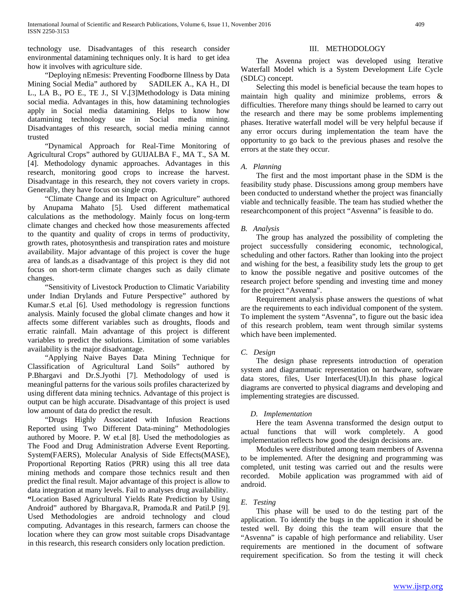technology use. Disadvantages of this research consider environmental datamining techniques only. It is hard to get idea how it involves with agriculture side.

"Deploying nEmesis: Preventing Foodborne Illness by Data<br>ng Social Media" authored by SADILEK A., KA H., DI Mining Social Media" authored by L., LA B., PO E., TE J., SI V.[3]Methodology is Data mining social media. Advantages in this, how datamining technologies apply in Social media datamining. Helps to know how datamining technology use in Social media mining. Disadvantages of this research, social media mining cannot trusted

 "Dynamical Approach for Real-Time Monitoring of Agricultural Crops" authored by GUIJALBA F., MA T., SA M. [4]. Methodology dynamic approaches. Advantages in this research, monitoring good crops to increase the harvest. Disadvantage in this research, they not covers variety in crops. Generally, they have focus on single crop.

 "Climate Change and its Impact on Agriculture" authored by Anupama Mahato [5]. Used different mathematical calculations as the methodology. Mainly focus on long-term climate changes and checked how those measurements affected to the quantity and quality of crops in terms of productivity, growth rates, photosynthesis and transpiration rates and moisture availability. Major advantage of this project is cover the huge area of lands.as a disadvantage of this project is they did not focus on short-term climate changes such as daily climate changes.

 "Sensitivity of Livestock Production to Climatic Variability under Indian Drylands and Future Perspective" authored by Kumar.S et.al [6]. Used methodology is regression functions analysis. Mainly focused the global climate changes and how it affects some different variables such as droughts, floods and erratic rainfall. Main advantage of this project is different variables to predict the solutions. Limitation of some variables availability is the major disadvantage.

 "Applying Naive Bayes Data Mining Technique for Classification of Agricultural Land Soils" authored by P.Bhargavi and Dr.S.Jyothi [7]. Methodology of used is meaningful patterns for the various soils profiles characterized by using different data mining technics. Advantage of this project is output can be high accurate. Disadvantage of this project is used low amount of data do predict the result.

 "Drugs Highly Associated with Infusion Reactions Reported using Two Different Data-mining" Methodologies authored by Moore. P. W et.al [8]. Used the methodologies as The Food and Drug Administration Adverse Event Reporting. System(FAERS), Molecular Analysis of Side Effects(MASE), Proportional Reporting Ratios (PRR) using this all tree data mining methods and compare those technics result and then predict the final result. Major advantage of this project is allow to data integration at many levels. Fail to analyses drug availability. **"**Location Based Agricultural Yields Rate Prediction by Using Android" authored by Bhargava.R, Pramoda.R and Patil.P [9]. Used Methodologies are android technology and cloud computing. Advantages in this research, farmers can choose the location where they can grow most suitable crops Disadvantage in this research, this research considers only location prediction.

# III. METHODOLOGY

 The Asvenna project was developed using Iterative Waterfall Model which is a System Development Life Cycle (SDLC) concept.

 Selecting this model is beneficial because the team hopes to maintain high quality and minimize problems, errors & difficulties. Therefore many things should be learned to carry out the research and there may be some problems implementing phases. Iterative waterfall model will be very helpful because if any error occurs during implementation the team have the opportunity to go back to the previous phases and resolve the errors at the state they occur.

## *A. Planning*

 The first and the most important phase in the SDM is the feasibility study phase. Discussions among group members have been conducted to understand whether the project was financially viable and technically feasible. The team has studied whether the researchcomponent of this project "Asvenna" is feasible to do.

## *B. Analysis*

 The group has analyzed the possibility of completing the project successfully considering economic, technological, scheduling and other factors. Rather than looking into the project and wishing for the best, a feasibility study lets the group to get to know the possible negative and positive outcomes of the research project before spending and investing time and money for the project "Asvenna".

 Requirement analysis phase answers the questions of what are the requirements to each individual component of the system. To implement the system "Asvenna", to figure out the basic idea of this research problem, team went through similar systems which have been implemented.

## *C. Design*

 The design phase represents introduction of operation system and diagrammatic representation on hardware, software data stores, files, User Interfaces(UI).In this phase logical diagrams are converted to physical diagrams and developing and implementing strategies are discussed.

#### *D. Implementation*

 Here the team Asvenna transformed the design output to actual functions that will work completely. A good implementation reflects how good the design decisions are.

 Modules were distributed among team members of Asvenna to be implemented. After the designing and programming was completed, unit testing was carried out and the results were recorded. Mobile application was programmed with aid of android.

#### *E. Testing*

 This phase will be used to do the testing part of the application. To identify the bugs in the application it should be tested well. By doing this the team will ensure that the "Asvenna" is capable of high performance and reliability. User requirements are mentioned in the document of software requirement specification. So from the testing it will check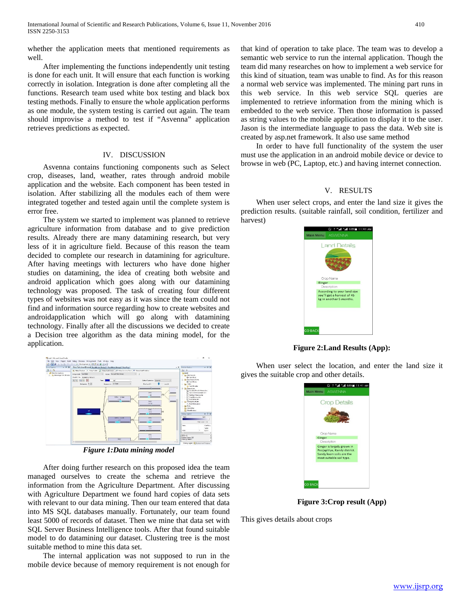whether the application meets that mentioned requirements as well.

 After implementing the functions independently unit testing is done for each unit. It will ensure that each function is working correctly in isolation. Integration is done after completing all the functions. Research team used white box testing and black box testing methods. Finally to ensure the whole application performs as one module, the system testing is carried out again. The team should improvise a method to test if "Asvenna" application retrieves predictions as expected.

## IV. DISCUSSION

 Asvenna contains functioning components such as Select crop, diseases, land, weather, rates through android mobile application and the website. Each component has been tested in isolation. After stabilizing all the modules each of them were integrated together and tested again until the complete system is error free.

 The system we started to implement was planned to retrieve agriculture information from database and to give prediction results. Already there are many datamining research, but very less of it in agriculture field. Because of this reason the team decided to complete our research in datamining for agriculture. After having meetings with lecturers who have done higher studies on datamining, the idea of creating both website and android application which goes along with our datamining technology was proposed. The task of creating four different types of websites was not easy as it was since the team could not find and information source regarding how to create websites and androidapplication which will go along with datamining technology. Finally after all the discussions we decided to create a Decision tree algorithm as the data mining model, for the application.



*Figure 1:Data mining model*

 After doing further research on this proposed idea the team managed ourselves to create the schema and retrieve the information from the Agriculture Department. After discussing with Agriculture Department we found hard copies of data sets with relevant to our data mining. Then our team entered that data into MS SQL databases manually. Fortunately, our team found least 5000 of records of dataset. Then we mine that data set with SQL Server Business Intelligence tools. After that found suitable model to do datamining our dataset. Clustering tree is the most suitable method to mine this data set.

 The internal application was not supposed to run in the mobile device because of memory requirement is not enough for that kind of operation to take place. The team was to develop a semantic web service to run the internal application. Though the team did many researches on how to implement a web service for this kind of situation, team was unable to find. As for this reason a normal web service was implemented. The mining part runs in this web service. In this web service SQL queries are implemented to retrieve information from the mining which is embedded to the web service. Then those information is passed as string values to the mobile application to display it to the user. Jason is the intermediate language to pass the data. Web site is created by asp.net framework. It also use same method

 In order to have full functionality of the system the user must use the application in an android mobile device or device to browse in web (PC, Laptop, etc.) and having internet connection.

## V. RESULTS

 When user select crops, and enter the land size it gives the prediction results. (suitable rainfall, soil condition, fertilizer and harvest)



**Figure 2:Land Results (App):**

 When user select the location, and enter the land size it gives the suitable crop and other details.



**Figure 3:Crop result (App)**

This gives details about crops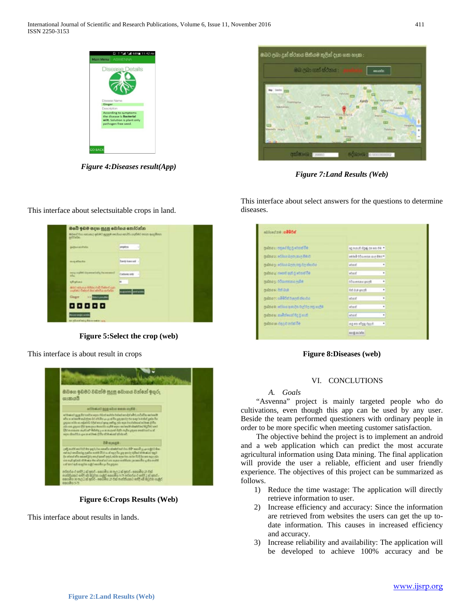

*Figure 4:Diseases result(App)*

This interface about selectsuitable crops in land.



*Figure 7:Land Results (Web)*

| මබේ ඉඩම සදහා සුදුසු බෝගය කෝරන්න<br>sched free answer your popy recher realty ingled rates anythen.<br>prints: |                          |
|---------------------------------------------------------------------------------------------------------------|--------------------------|
| populated at                                                                                                  | argebra<br>-16           |
| mug attacks                                                                                                   | <b>Sareb kornel</b> :    |
| any ruta: Iganabely hyanaud                                                                                   | Carbons only             |
| <b>STALMS</b>                                                                                                 | as                       |
| antich with single fireball (syn badded gan)<br>would also below a would contact on                           | <b>Analysists</b> etatwi |
| Gager >> Management                                                                                           |                          |
| 88888                                                                                                         |                          |
| <b>HENRICH</b>                                                                                                |                          |
| to short and have note into                                                                                   |                          |

**Figure 5:Select the crop (web)**

This interface is about result in crops



**Figure 6:Crops Results (Web)**

This interface about results in lands.

This interface about select answers for the questions to determine diseases.

| golds a substant the control five         | ag mouth dipal on words |         |
|-------------------------------------------|-------------------------|---------|
| pulma a : editor light sug 04.0           | skied obsess me der *   |         |
| gabha gu a dilua Airm any tin thuiba.     | atmit                   | ٠       |
| ලාම්බය all decell ඇති වූ පරගාත් වීම       | abast                   | ٠       |
| pakes a memba single                      | <b>Board union of t</b> | ٠       |
| publication and                           | Relay by R.R.           | ٠       |
| pulma y i all'il del byandi tha ida       | steel                   | ۰       |
| palma a : ethius quo, co logico organiza- | stunt.                  | ٠       |
| being stiltenders restau                  | attend                  | ٠       |
| subsidiary displays signified             | these state are per     | $\cdot$ |
|                                           | sed note                |         |

# **Figure 8:Diseases (web)**

# VI. CONCLUTIONS

## *A. Goals*

 "Asvenna" project is mainly targeted people who do cultivations, even though this app can be used by any user. Beside the team performed questioners with ordinary people in order to be more specific when meeting customer satisfaction.

 The objective behind the project is to implement an android and a web application which can predict the most accurate agricultural information using Data mining. The final application will provide the user a reliable, efficient and user friendly experience. The objectives of this project can be summarized as follows.

- 1) Reduce the time wastage: The application will directly retrieve information to user.
- 2) Increase efficiency and accuracy: Since the information are retrieved from websites the users can get the up todate information. This causes in increased efficiency and accuracy.
- 3) Increase reliability and availability: The application will be developed to achieve 100% accuracy and be